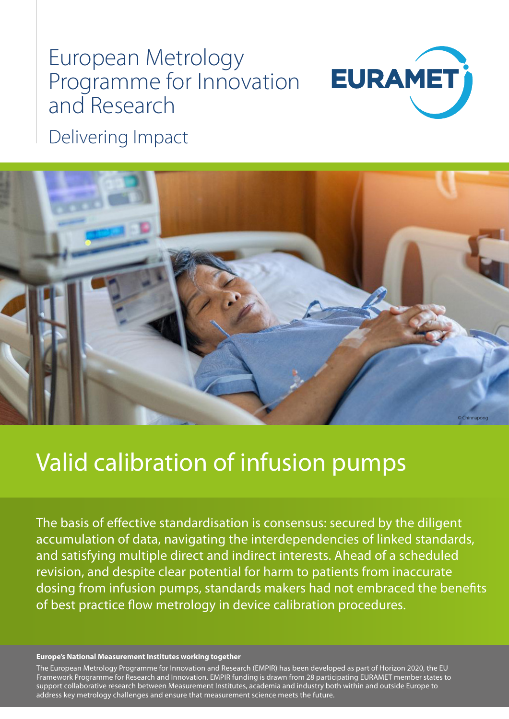# European Metrology Programme for Innovation and Research



Delivering Impact



## Valid calibration of infusion pumps

The basis of effective standardisation is consensus: secured by the diligent accumulation of data, navigating the interdependencies of linked standards, and satisfying multiple direct and indirect interests. Ahead of a scheduled revision, and despite clear potential for harm to patients from inaccurate dosing from infusion pumps, standards makers had not embraced the benefits of best practice flow metrology in device calibration procedures.

#### **Europe's National Measurement Institutes working together**

The European Metrology Programme for Innovation and Research (EMPIR) has been developed as part of Horizon 2020, the EU Framework Programme for Research and Innovation. EMPIR funding is drawn from 28 participating EURAMET member states to support collaborative research between Measurement Institutes, academia and industry both within and outside Europe to address key metrology challenges and ensure that measurement science meets the future.